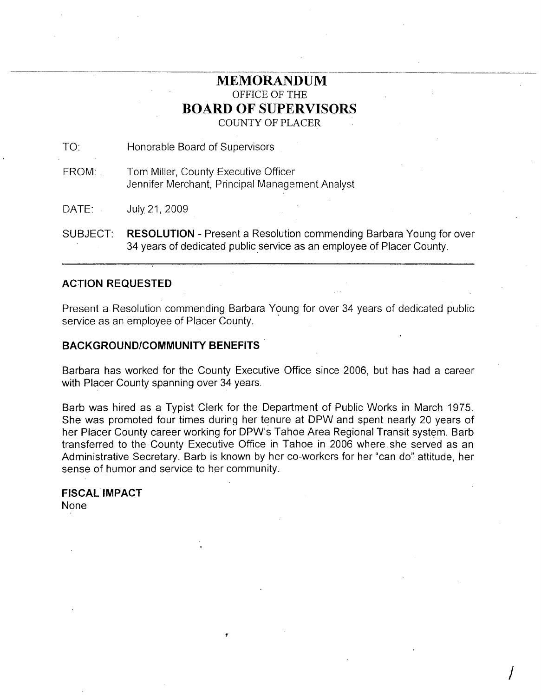# **MEMORANDUM** OFFICE OF THE **BOARD OF SUPERVISORS** COUNTY OF PLACER

TO: Honorable Board of Supervisors

FROM: Tom Miller, County Executive Officer Jennifer Merchant, Principal Management Analyst

DATE: July21,2009

SUBJECT: **RESOLUTION** - Present a Resolution commending Barbara Young for over 34 years of dedicated public service as an employee of Placer County.

# **ACTION REQUESTED**

Present a Resolution commending Barbara Young for over 34 years of dedicated public service as an employee of Placer County.

### **BACKGROUND/COMMUNITY BENEFITS**

Barbara has worked for the County Executive Office since 2006, but has had a career with Placer County spanning over 34 years.

Barb was hired as a Typist Clerk for the Department of Public Works in March 1975. She was promoted four times during her tenure at DPW and spent nearly 20 years of her Placer County career working for DPW's Tahoe Area Regional Transit system. Barb transferred to the County Executive Office in Tahoe in 2006 where she served as an Administrative Secretary. Barb is known by her co-workers for her "can do" attitude, her sense of humor and service to her community.

 $\int$ 

1

## **FISCAL IMPACT** None